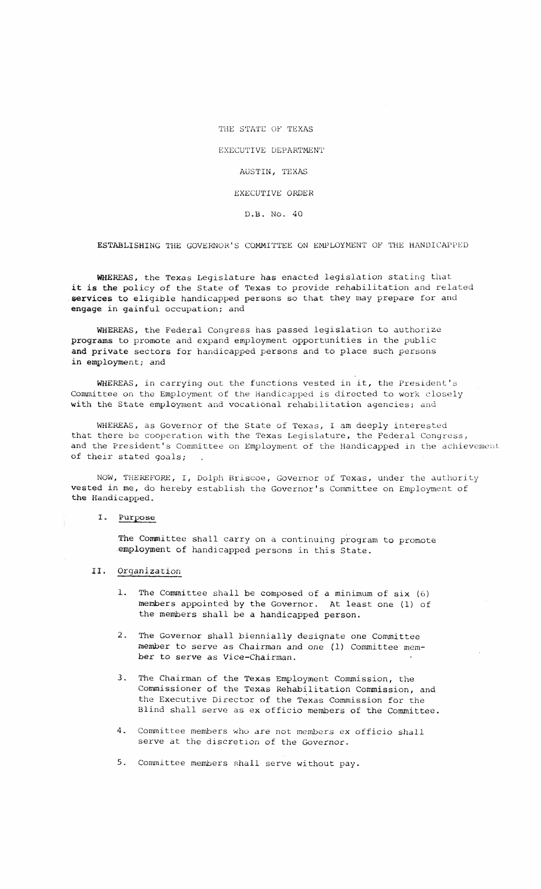THE STATE OF TEXAS

EXECUTIVE DEPARTMENT

AUSTIN, TEXAS

EXECUTIVE ORDER

D.B. No. 40

ESTABLISHING THE GOVERNOR'S COMMITTEE ON EMPLOYMENT OF THE HANDICAPPED

WHEREAS, the Texas Legislature has enacted legislation stating that it is the policy of the State of Texas to provide rehabilitation and related services to eligible handicapped persons so that they may prepare for and engage in gainful occupation; and

WHEREAS, the Federal Congress has passed legislation to authorize programs to promote and expand employment opportunities in the public and private sectors for handicapped persons and to place such persons in employment; and

WHEREAS, in carrying out the functions vested in it, the President's Committee on the Employment of the Handicapped is directed to work closely with the State employment and vocational rehabilitation agencies; and

WHEREAS, as Governor of the State of Texas, I am deeply interested that there be cooperation with the Texas Legislature, the Federal Congress, and the President's Committee on Employment of the Handicapped in the achievement of their stated goals;

NOW, THEREFORE, I, Dolph Briscoe, Governor of Texas, under the authority vested in me, do hereby establish the Governor's Committee on Employment of the Handicapped.

## I. Purpose

The Committee shall carry on a continuing program to promote employment of handicapped persons in this State.

## II. Organization

- The Committee shall be composed of a minimum of  $six (6)$ members appointed by the Governor. At least one (1) of the members shall be <sup>a</sup> handicapped person.
- 2. The Governor shall biennially designate one Committee member to serve as Chairman and one (1) Committee member to serve as Vice-Chairman.
- 3. The Chairman of the Texas Employment Commission, the Commissioner of the Texas Rehabilitation Commission, and the Executive Director of the Texas Commission for the Blind shall serve as ex officio members of the Committee.
- 4. Committee members who are not members ex officio shall serve at the discretion of the Governor.
- 5. Committee members shall serve without pay.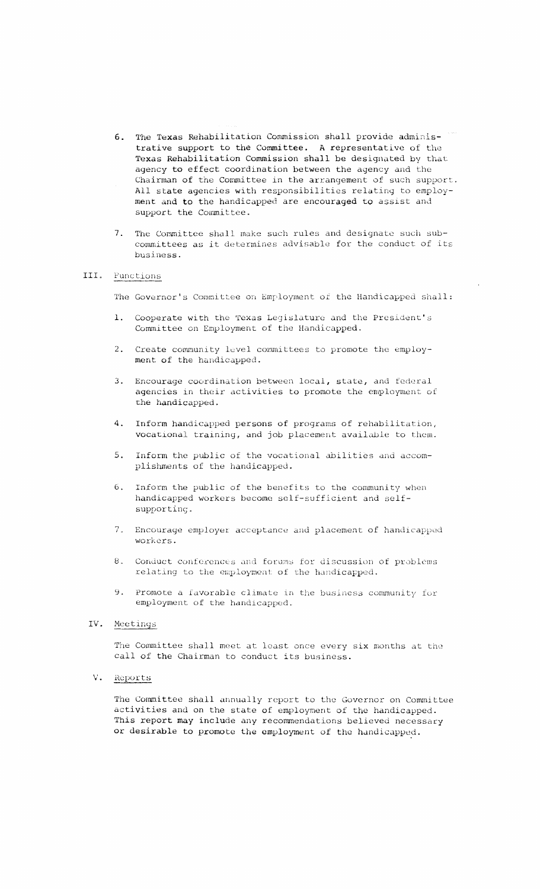- 6. The Texas Rehabilitation Commission shall provide administrative support to the Committee. A representative of the Texas Rehabilitation Commission shall be designated by that agency to effect coordination between the agency and the Chairman of the Committee in the arrangement of such support. All state agencies with responsibilities relating to employment and to the handicapped are encouraged to assist and support the Committee.
- 7. The Committee shall make such rules and designate such subcommittees as it determines advisable for the conduct of its business.

## III. Functions

The Governor's Committee on Employment of the Handicapped shall:

- Cooperate with the Texas Legislature and the President's Committee on Employment of the Handicapped.
- 2. Create community level committees to promote the employment of the handicapped.
- Encourage coordination between local, state, and federal  $3<sub>z</sub>$ agencies in their activities to promote the employment of the handicapped.
- $\mathbf{A}$ . Inform handicapped persons of programs of rehabilitation, vocational training, and job placement available to them.
- $5.$ Inform the public of the vocational abilities and accomplishments of the handicapped.
- Inform the public of the benefits to the community when  $6.$ handicapped workers become self-sufficient and selfsupporting.
- 7. Encourage employer acceptance and placement of handicapped workers.
- 8. Conduct conferences and forums for discussion of problems relating to the employment of the handicapped.
- Promote a favorable climate in the business community for  $\mathbf{q}$ employment of the handicapped.
- IV. Meetings

The Committee shall meet at least once every six months at the call of the Chairman to conduct its business.

 $V_{\bullet}$ Reports

> The Committee shall annually report to the Governor on Committee activities and on the state of employment of the handicapped. This report may include any recommendations believed necessary or desirable to promote the employment of the handicapped.